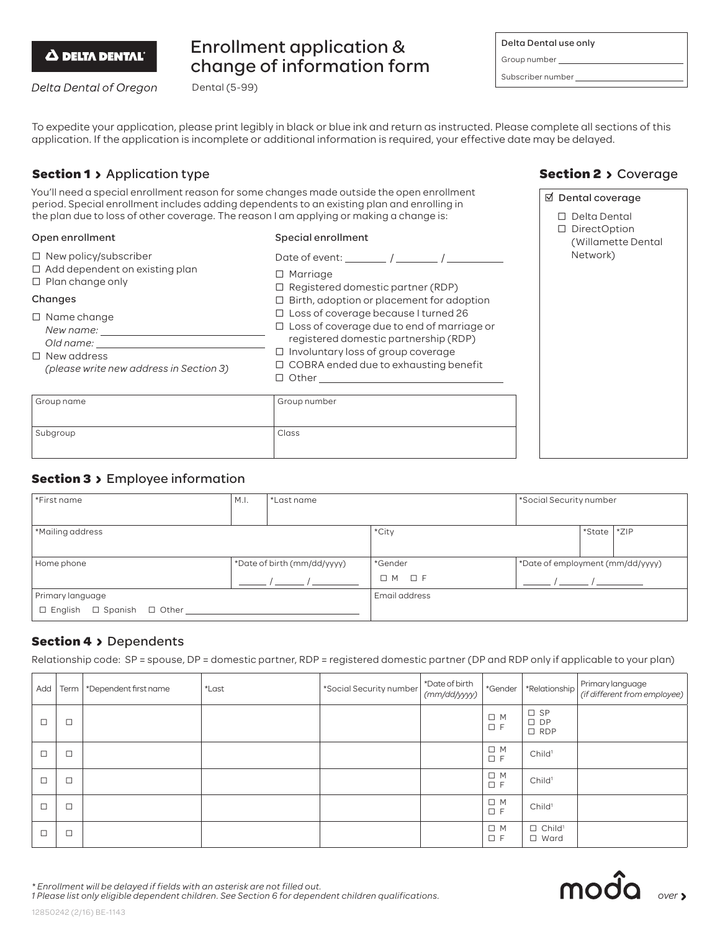

# Enrollment application & change of information form

Delta Dental of Oregon

Delta Dental use only Group number Subscriber number

To expedite your application, please print legibly in black or blue ink and return as instructed. Please complete all sections of this application. If the application is incomplete or additional information is required, your effective date may be delayed.

# **Section 1 > Application type**

You'll need a special enrollment reason for some changes made outside the open enrollment period. Special enrollment includes adding dependents to an existing plan and enrolling in the plan due to loss of other coverage. The reason I am applying or making a change is:

Dental (5-99)

#### Open enrollment

#### Special enrollment

| $\Box$ New policy/subscriber<br>$\Box$ Add dependent on existing plan<br>$\Box$ Plan change only<br>Changes<br>$\Box$ Name change<br>New name:<br>Old name:<br>$\Box$ New address<br>(please write new address in Section 3) | Date of event:<br>$\Box$ Marriage<br>$\Box$ Registered domestic partner (RDP)<br>$\Box$ Birth, adoption or placement for adoption<br>$\Box$ Loss of coverage because I turned 26<br>$\Box$ Loss of coverage due to end of marriage or<br>registered domestic partnership (RDP)<br>$\Box$ Involuntary loss of group coverage<br>$\Box$ COBRA ended due to exhausting benefit<br>$\Box$ Other |
|------------------------------------------------------------------------------------------------------------------------------------------------------------------------------------------------------------------------------|---------------------------------------------------------------------------------------------------------------------------------------------------------------------------------------------------------------------------------------------------------------------------------------------------------------------------------------------------------------------------------------------|
| Group name                                                                                                                                                                                                                   | Group number                                                                                                                                                                                                                                                                                                                                                                                |

# **Section 2 > Coverage**

| ⊠ Dental coverage |        |                                                                  |  |  |
|-------------------|--------|------------------------------------------------------------------|--|--|
|                   | $\Box$ | □ Delta Dental<br>DirectOption<br>(Willamette Dental<br>Network) |  |  |
|                   |        |                                                                  |  |  |

## **Section 3 > Employee information**

Subgroup Class

| *First name                                | M.I. | *Last name                  |                      | *Social Security number          |        |        |
|--------------------------------------------|------|-----------------------------|----------------------|----------------------------------|--------|--------|
|                                            |      |                             |                      |                                  |        |        |
| *Mailing address                           |      |                             | *City                |                                  | *State | $*ZIP$ |
|                                            |      |                             |                      |                                  |        |        |
| Home phone                                 |      | *Date of birth (mm/dd/yyyy) | *Gender              | *Date of employment (mm/dd/yyyy) |        |        |
|                                            |      |                             | $\Box$ F<br>$\Box$ M |                                  |        |        |
| Primary language                           |      |                             | Email address        |                                  |        |        |
| $\Box$ English $\Box$ Spanish $\Box$ Other |      |                             |                      |                                  |        |        |

### **Section 4 > Dependents**

Relationship code: SP = spouse, DP = domestic partner, RDP = registered domestic partner (DP and RDP only if applicable to your plan)

| Add    | Term   | *Dependent first name | *Last | *Social Security number | *Date of birth<br>(mm/dd/yyyy) | *Gender                 | *Relationship                              | Primary language<br>(if different from employee) |
|--------|--------|-----------------------|-------|-------------------------|--------------------------------|-------------------------|--------------------------------------------|--------------------------------------------------|
| $\Box$ | $\Box$ |                       |       |                         |                                | $\Box$ M<br>$\square$ F | $\square$ SP<br>$\square$ DP<br>$\Box$ RDP |                                                  |
| $\Box$ | $\Box$ |                       |       |                         |                                | $\Box$ M<br>$\square$ F | Child <sup>1</sup>                         |                                                  |
| $\Box$ | $\Box$ |                       |       |                         |                                | $\Box$ M<br>$\square$ F | Child <sup>1</sup>                         |                                                  |
| $\Box$ | $\Box$ |                       |       |                         |                                | $\Box$ M<br>$\square$ F | Child <sup>1</sup>                         |                                                  |
|        | $\Box$ |                       |       |                         |                                | $\Box$ M<br>$\square$ F | $\Box$ Child <sup>1</sup><br>$\Box$ Ward   |                                                  |



*\* Enrollment will be delayed if fields with an asterisk are not filled out.*

*1 Please list only eligible dependent children. See Section 6 for dependent children qualifications.*